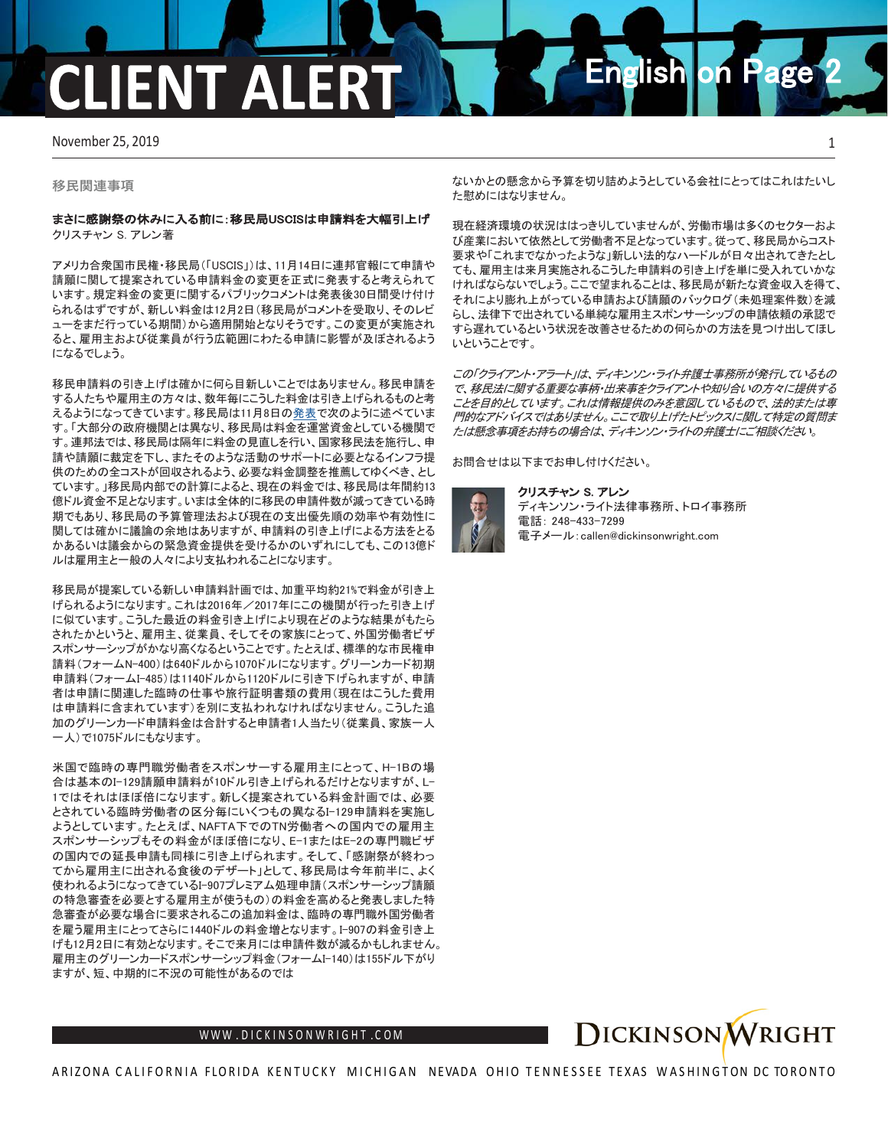# **ENT ALE**

November 25, 2019 1

**移民関連事項**

## まさに感謝祭の休みに入る前に:移民局USCISは申請料を大幅引上げ クリスチャン S. アレン著

アメリカ合衆国市民権・移民局(「USCIS」)は、11月14日に連邦官報にて申請や 請願に関して提案されている申請料金の変更を正式に発表すると考えられて います。規定料金の変更に関するパブリックコメントは発表後30日間受け付け られるはずですが、新しい料金は12月2日(移民局がコメントを受取り、そのレビ ューをまだ行っている期間)から適用開始となりそうです。この変更が実施され ると、雇用主および従業員が行う広範囲にわたる申請に影響が及ぼされるよう になるでしょう。

移民申請料の引き上げは確かに何ら目新しいことではありません。移民申請を する人たちや雇用主の方々は、数年毎にこうした料金は引き上げられるものと考 えるようになってきています。移民局は11月8日[の発表で](https://www.uscis.gov/news/news-releases/uscis-proposes-adjust-fees-meet-operational-needs)次のように述べていま す。「大部分の政府機関とは異なり、移民局は料金を運営資金としている機関で す。連邦法では、移民局は隔年に料金の見直しを行い、国家移民法を施行し、申 請や請願に裁定を下し、またそのような活動のサポートに必要となるインフラ提 供のための全コストが回収されるよう、必要な料金調整を推薦してゆくべき、とし ています。」移民局内部での計算によると、現在の料金では、移民局は年間約13 億ドル資金不足となります。いまは全体的に移民の申請件数が減ってきている時 期でもあり、移民局の予算管理法および現在の支出優先順の効率や有効性に 関しては確かに議論の余地はありますが、申請料の引き上げによる方法をとる かあるいは議会からの緊急資金提供を受けるかのいずれにしても、この13億ド ルは雇用主と一般の人々により支払われることになります。

移民局が提案している新しい申請料計画では、加重平均約21%で料金が引き上 げられるようになります。これは2016年/2017年にこの機関が行った引き上げ に似ています。こうした最近の料金引き上げにより現在どのような結果がもたら されたかというと、雇用主、従業員、そしてその家族にとって、外国労働者ビザ スポンサーシップがかなり高くなるということです。たとえば、標準的な市民権申 請料(フォームN-400)は640ドルから1070ドルになります。グリーンカード初期 申請料(フォームI-485)は1140ドルから1120ドルに引き下げられますが、申請 者は申請に関連した臨時の仕事や旅行証明書類の費用(現在はこうした費用 は申請料に含まれています)を別に支払われなければなりません。こうした追 加のグリーンカード申請料金は合計すると申請者1人当たり(従業員、家族一人 一人)で1075ドルにもなります。

米国で臨時の専門職労働者をスポンサーする雇用主にとって、H-1Bの場 合は基本のI-129請願申請料が10ドル引き上げられるだけとなりますが、L-1ではそれはほぼ倍になります。新しく提案されている料金計画では、必要 とされている臨時労働者の区分毎にいくつもの異なるI-129申請料を実施し ようとしています。たとえば、NAFTA下でのTN労働者への国内での雇用主 スポンサーシップもその料金がほぼ倍になり、E-1またはE-2の専門職ビザ の国内での延長申請も同様に引き上げられます。そして、「感謝祭が終わっ てから雇用主に出される食後のデザート」として、移民局は今年前半に、よく 使われるようになってきているI-907プレミアム処理申請(スポンサーシップ請願 の特急審査を必要とする雇用主が使うもの)の料金を高めると発表しました特 急審査が必要な場合に要求されるこの追加料金は、臨時の専門職外国労働者 を雇う雇用主にとってさらに1440ドルの料金増となります。I-907の料金引き上 げも12月2日に有効となります。そこで来月には申請件数が減るかもしれません。 雇用主のグリーンカードスポンサーシップ料金(フォームI-140)は155ドル下がり ますが、短、中期的に不況の可能性があるのでは

ないかとの懸念から予算を切り詰めようとしている会社にとってはこれはたいし た慰めにはなりません。

**English on Page** 

現在経済環境の状況ははっきりしていませんが、労働市場は多くのセクターおよ び産業において依然として労働者不足となっています。従って、移民局からコスト 要求や「これまでなかったような」新しい法的なハードルが日々出されてきたとし ても、雇用主は来月実施されるこうした申請料の引き上げを単に受入れていかな ければならないでしょう。ここで望まれることは、移民局が新たな資金収入を得て、 それにより膨れ上がっている申請および請願のバックログ(未処理案件数)を減 らし、法律下で出されている単純な雇用主スポンサーシップの申請依頼の承認で すら遅れているという状況を改善させるための何らかの方法を見つけ出してほし いということです。

この「クライアント・アラート」は、ディキンソン・ライト弁護士事務所が発行しているもの で、移民法に関する重要な事柄・出来事をクライアントや知り合いの方々に提供する ことを目的としています。これは情報提供のみを意図しているもので、法的または専 門的なアドバイスではありません。ここで取り上げたトピックスに関して特定の質問ま たは懸念事項をお持ちの場合は、ディキンソン・ライトの弁護士にご相談ください。

お問合せは以下までお申し付けください。

### クリスチャン S. アレン



ディキンソン・ライト法律事務所、トロイ事務所 電話: 248-433-7299 電子メール:callen@dickinsonwright.com



WWW [.DICKINSONWRIGHT](http://www.dickinsonwright.com/) . C O M